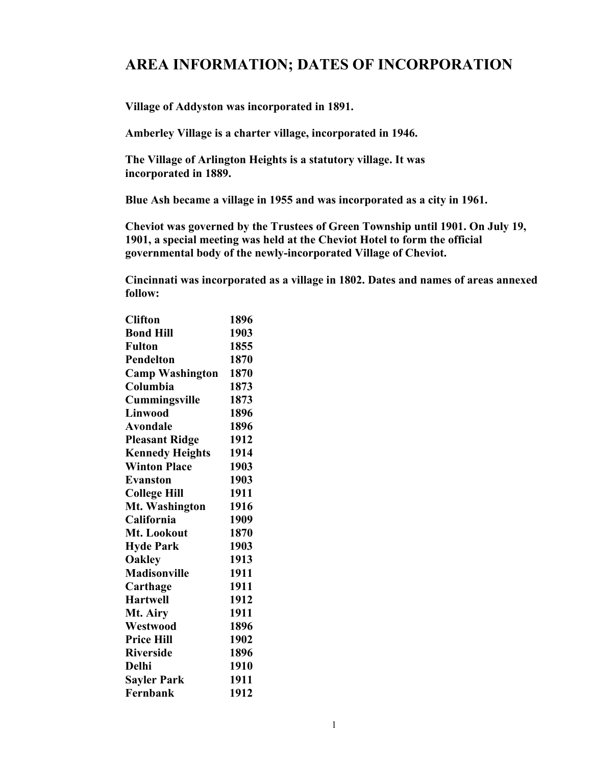## **AREA INFORMATION; DATES OF INCORPORATION**

**Village of Addyston was incorporated in 1891.** 

**Amberley Village is a charter village, incorporated in 1946.** 

**The Village of Arlington Heights is a statutory village. It was incorporated in 1889.** 

**Blue Ash became a village in 1955 and was incorporated as a city in 1961.** 

**Cheviot was governed by the Trustees of Green Township until 1901. On July 19, 1901, a special meeting was held at the Cheviot Hotel to form the official governmental body of the newly-incorporated Village of Cheviot.** 

**Cincinnati was incorporated as a village in 1802. Dates and names of areas annexed follow:** 

| <b>Clifton</b>         | 1896 |
|------------------------|------|
| <b>Bond Hill</b>       | 1903 |
| <b>Fulton</b>          | 1855 |
| <b>Pendelton</b>       | 1870 |
| <b>Camp Washington</b> | 1870 |
| Columbia               | 1873 |
| Cummingsville          | 1873 |
| Linwood                | 1896 |
| <b>Avondale</b>        | 1896 |
| <b>Pleasant Ridge</b>  | 1912 |
| <b>Kennedy Heights</b> | 1914 |
| <b>Winton Place</b>    | 1903 |
| <b>Evanston</b>        | 1903 |
| <b>College Hill</b>    | 1911 |
| Mt. Washington         | 1916 |
| California             | 1909 |
| Mt. Lookout            | 1870 |
| <b>Hyde Park</b>       | 1903 |
| <b>Oakley</b>          | 1913 |
| <b>Madisonville</b>    | 1911 |
| Carthage               | 1911 |
| <b>Hartwell</b>        | 1912 |
| Mt. Airy               | 1911 |
| Westwood               | 1896 |
| <b>Price Hill</b>      | 1902 |
| <b>Riverside</b>       | 1896 |
| Delhi                  | 1910 |
| <b>Sayler Park</b>     | 1911 |
| Fernbank               | 1912 |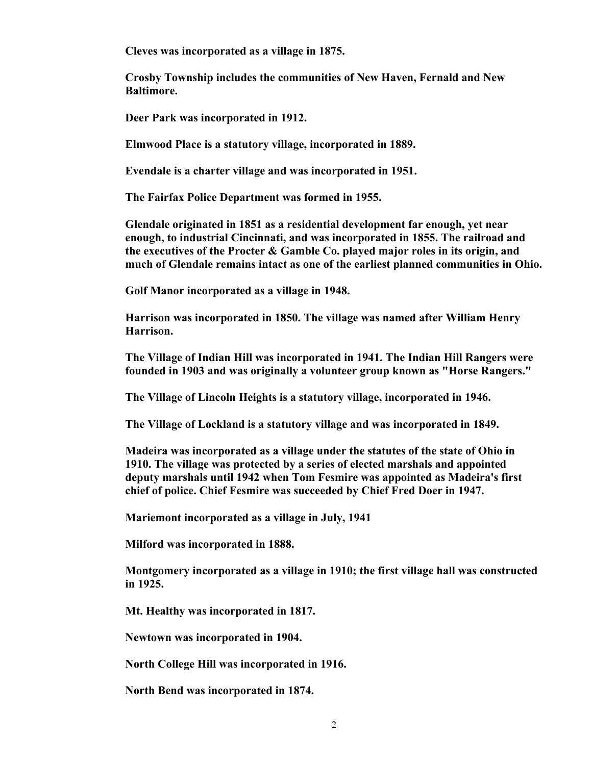**Cleves was incorporated as a village in 1875.** 

**Crosby Township includes the communities of New Haven, Fernald and New Baltimore.** 

**Deer Park was incorporated in 1912.** 

**Elmwood Place is a statutory village, incorporated in 1889.** 

**Evendale is a charter village and was incorporated in 1951.** 

**The Fairfax Police Department was formed in 1955.** 

**Glendale originated in 1851 as a residential development far enough, yet near enough, to industrial Cincinnati, and was incorporated in 1855. The railroad and the executives of the Procter & Gamble Co. played major roles in its origin, and much of Glendale remains intact as one of the earliest planned communities in Ohio.** 

**Golf Manor incorporated as a village in 1948.** 

**Harrison was incorporated in 1850. The village was named after William Henry Harrison.** 

**The Village of Indian Hill was incorporated in 1941. The Indian Hill Rangers were founded in 1903 and was originally a volunteer group known as "Horse Rangers."**

**The Village of Lincoln Heights is a statutory village, incorporated in 1946.** 

**The Village of Lockland is a statutory village and was incorporated in 1849.** 

**Madeira was incorporated as a village under the statutes of the state of Ohio in 1910. The village was protected by a series of elected marshals and appointed deputy marshals until 1942 when Tom Fesmire was appointed as Madeira's first chief of police. Chief Fesmire was succeeded by Chief Fred Doer in 1947.** 

**Mariemont incorporated as a village in July, 1941** 

**Milford was incorporated in 1888.** 

**Montgomery incorporated as a village in 1910; the first village hall was constructed in 1925.** 

**Mt. Healthy was incorporated in 1817.** 

**Newtown was incorporated in 1904.** 

**North College Hill was incorporated in 1916.** 

**North Bend was incorporated in 1874.**